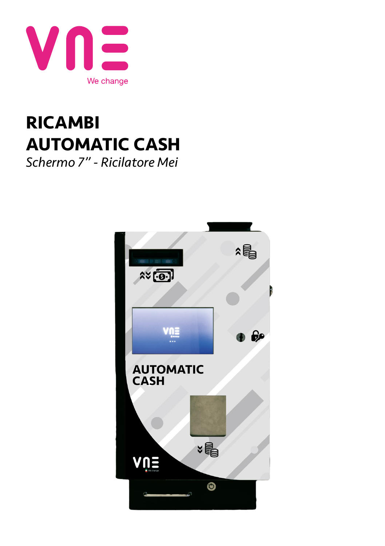

## **RICAMBI AUTOMATIC CASH** *Schermo 7" - Ricilatore Mei*

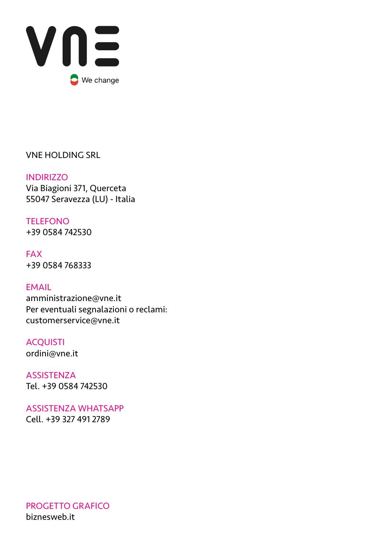

VNE HOLDING SRL

**INDIRIZZO** Via Biagioni 371, Querceta 55047 Seravezza (LU) - Italia

TELEFONO +39 0584 742530

FAX +39 0584 768333

EMAIL amministrazione@vne.it Per eventuali segnalazioni o reclami: customerservice@vne.it

ACQUISTI ordini@vne.it

**ASSISTENZA** Tel. +39 0584 742530

ASSISTENZA WHATSAPP Cell. +39 327 491 2789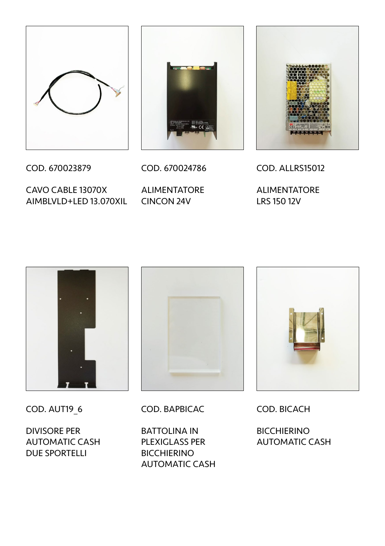



COD. 670023879

CAVO CABLE 13070X AIMBLVLD+LED 13.070XIL CINCON 24V

COD. 670024786 ALIMENTATORE

COD. ALLRS15012

ALIMENTATORE LRS 150 12V



COD. AUT19\_6

DIVISORE PER AUTOMATIC CASH DUE SPORTELLI



COD. BAPBICAC

BATTOLINA IN PLEXIGLASS PER BICCHIERINO AUTOMATIC CASH



COD. BICACH

**BICCHIERINO** AUTOMATIC CASH

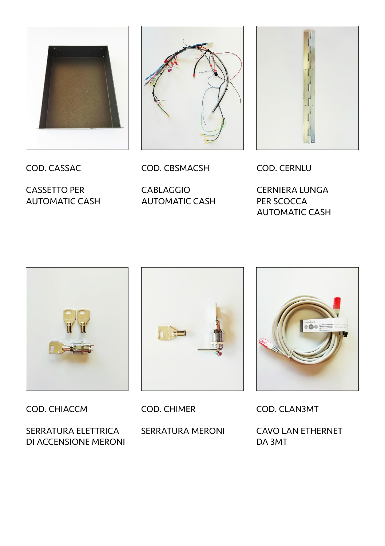





COD. CASSAC

CASSETTO PER AUTOMATIC CASH COD. CBSMACSH

CABLAGGIO AUTOMATIC CASH COD. CERNLU

CERNIERA LUNGA PER SCOCCA AUTOMATIC CASH



COD. CHIACCM

SERRATURA ELETTRICA DI ACCENSIONE MERONI



COD. CHIMER

SERRATURA MERONI



COD. CLAN3MT

CAVO LAN ETHERNET DA 3MT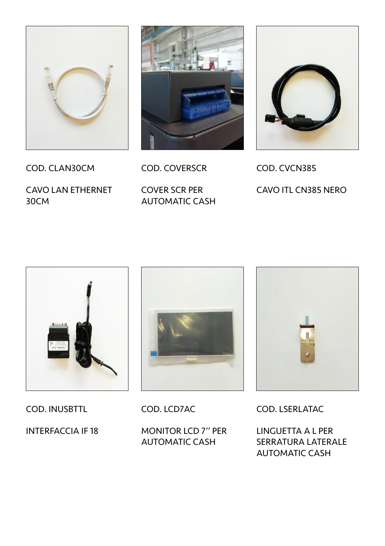



COD. COVERSCR

CAVO LAN ETHERNET 30CM

COD. CLAN30CM

COVER SCR PER AUTOMATIC CASH



COD. CVCN385 CAVO ITL CN385 NERO



COD. INUSBTTL

INTERFACCIA IF 18



COD. LCD7AC

MONITOR LCD 7'' PER AUTOMATIC CASH



COD. LSERLATAC

LINGUETTA A L PER SERRATURA LATERALE AUTOMATIC CASH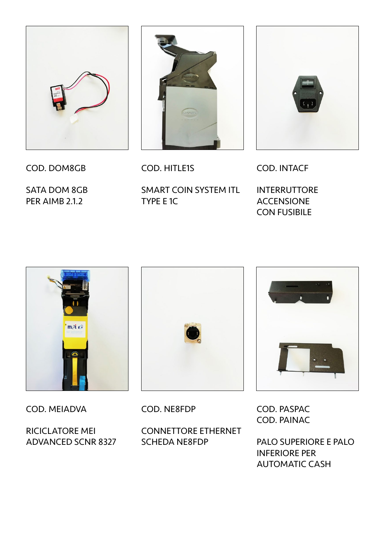

COD. DOM8GB

SATA DOM 8GB PER AIMB 2.1.2



COD. HITLE1S

SMART COIN SYSTEM ITL TYPE E 1C



COD. INTACF

INTERRUTTORE ACCENSIONE CON FUSIBILE



COD. MEIADVA

RICICLATORE MEI ADVANCED SCNR 8327



COD. NE8FDP

CONNETTORE ETHERNET SCHEDA NE8FDP



COD. PASPAC COD. PAINAC

PALO SUPERIORE E PALO INFERIORE PER AUTOMATIC CASH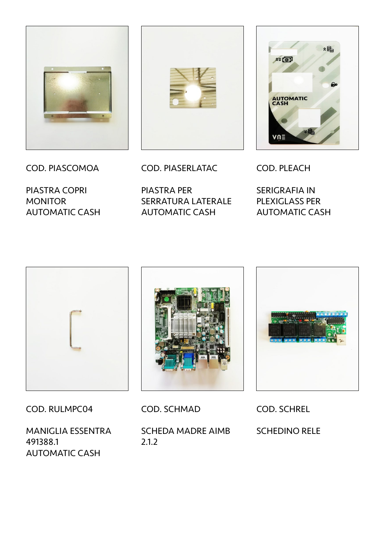



PIASTRA COPRI **MONITOR** AUTOMATIC CASH



COD. PIASERLATAC

PIASTRA PER SERRATURA LATERALE AUTOMATIC CASH

COD. PLEACH

 $V \cap \Xi$ 

 $25.001$ 

**AUTOMATIC** 

SERIGRAFIA IN PLEXIGLASS PER AUTOMATIC CASH

2目



COD. RULMPC04

MANIGLIA ESSENTRA 491388.1 AUTOMATIC CASH



COD. SCHMAD

SCHEDA MADRE AIMB 2.1.2



COD. SCHREL

SCHEDINO RELE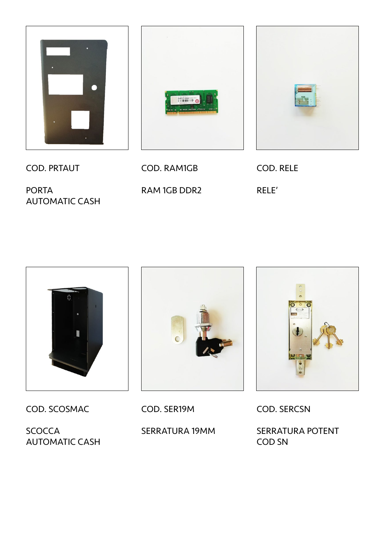



PORTA AUTOMATIC CASH



COD. RAM1GB RAM 1GB DDR2



COD. RELE RELE'



COD. SCOSMAC

SCOCCA AUTOMATIC CASH



COD. SER19M

SERRATURA 19MM



COD. SERCSN

SERRATURA POTENT COD SN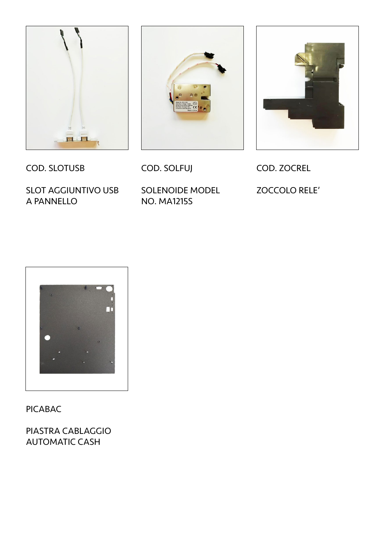





COD. SLOTUSB

SLOT AGGIUNTIVO USB A PANNELLO

COD. SOLFUJ

SOLENOIDE MODEL NO. MA1215S

COD. ZOCREL ZOCCOLO RELE'



PICABAC

PIASTRA CABLAGGIO AUTOMATIC CASH